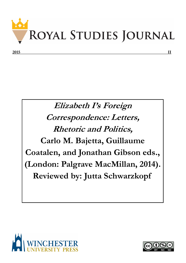

## **Elizabeth I's Foreign Correspondence: Letters, Rhetoric and Politics, Carlo M. Bajetta, Guillaume Coatalen, and Jonathan Gibson eds., (London: Palgrave MacMillan, 2014). Reviewed by: Jutta Schwarzkopf**



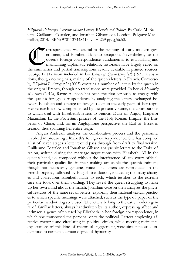*Elizabeth I's Foreign Correspondence: Letters, Rhetoric and Politics*. By Carlo M. Bajetta, Guillaume Coatalen, and Jonathan Gibson eds. London: Palgrave Macmillan, 2014. ISBN: 9781137448415. vii + 269 pp. 456.50.

 $\bigoplus$ orrespondence was crucial to the running of early modern government, and Elizabeth I's is no exception. Nevertheless, for the queen's foreign correspondence, fundamental to establishing and maintaining diplomatic relations, historians have largely relied on the summaries and partial transcriptions readily available in printed sources. George B. Harrison included in his *Letters of Queen Elizabeth* (1935) translations, though no originals, mainly of the queen's letters in French. Conversely, *Elizabeth I: Autographs* (2003) contains a number of letters by the queen in the original French, though no translations were provided. In her *A Monarchy of Letters* (2012), Rayne Allinson has been the first seriously to engage with the queen's foreign correspondence by analysing the letters exchanged between Elizabeth and a range of foreign rulers in the early years of her reign. Her research is now complemented by the present volume, the contributions to which deal with Elizabeth's letters to Francis, Duke of Anjou, Emperor Maximilian II, the Protestant princes of the Holy Roman Empire, the Emperor of China, and, for an Anglophone perspective, the Earl of Essex in Ireland, thus spanning her entire reign.

Angela Andreani analyses the collaborative process and the personnel involved in producing Elizabeth's foreign correspondence. She has compiled a list of seven stages a letter would pass through from draft to final version. Guillaume Coatalen and Jonathan Gibson analyse six letters to the Duke of Anjou, written during the marriage negotiations with Elizabeth. All in the queen's hand, i.e. composed without the interference of any court official, their particular quality lies in their making accessible the queen's intimate, though not necessarily genuine, voice. The letters are reproduced in the French original, followed by English translations, indicating the many changes and corrections Elizabeth made to each, which testifies to the extreme care she took over their wording. They reveal the queen struggling to make up her own mind about the match. Jonathan Gibson then analyses the physical features of the same set of letters, exploring their material textual practices to which specific meanings were attached, such as the type of paper or the particular handwriting style used. The letters belong to the early modern genre of familiar letters, always handwritten by its author, expressing affect and intimacy, a genre often used by Elizabeth in her foreign correspondence, in which she transposed the personal onto the political. Letters employing affective rhetoric and circulating in political circles, while meeting recipients' expectations of this kind of rhetorical engagement, were simultaneously understood to contain a certain degree of hypocrisy.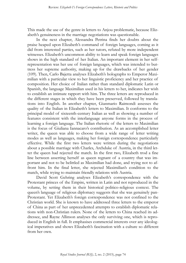This made the use of the genre in letters to Anjou problematic, because Elizabeth's genuineness in the marriage negotiations was questionable.

In the next chapter, Alessandra Petrina finds her doubts about the praise heaped upon Elizabeth's command of foreign languages, coming as it did from interested parties, such as her tutors, refuted by more independent witnesses. Elizabeth's uncommon ability to learn and speak foreign languages shows in the high standard of her Italian. An important element in her selfrepresentation was her use of foreign languages, which was intended to buttress her supreme authority, making up for the drawbacks of her gender (109). Then, Carlo Bajetta analyses Elizabeth's holographs to Emperor Maximilian with a particular view to her linguistic proficiency and her practice of composition. Her choice of Italian rather than standard diplomatic Latin or Spanish, the language Maximilian used in his letters to her, indicates her wish to establish an intimate rapport with him. The three letters are reproduced in the different stages in which they have been preserved, followed by translations into English. In another chapter, Gianmario Raimondi assesses the quality of the Italian in Elizabeth's letters to Maximilian. It conforms to the principal model of sixteenth-century Italian as well as showing a number of features consistent with the interlanguage anyone forms in the process of learning a foreign language. The Italian rhetoric of the letters to Maximilian is the focus of Giuliana Iannacaro's contribution. As an accomplished letter writer, the queen was able to choose from a wide range of letter writing modes as well as languages, making her foreign correspondence particularly effective. While the first two letters were written during the negotiations about a possible marriage with Charles, Archduke of Austria, in the third letter the queen had rejected the match. In the first two, Elizabeth trod a fine line between asserting herself as queen regnant of a country that was important and not to be belittled as Maximilian had done, and trying not to affront him. In the final letter, she rejected Maximilian's condition to the match, while trying to maintain friendly relations with Austria.

David Scott Gehring analyses Elizabeth's correspondence with the Protestant princes of the Empire, written in Latin and not reproduced in the volume, by setting them in their historical politico-religious context. The queen's language of religious diplomacy suggests that she was genuinely pan-Protestant. Yet Elizabeth's foreign correspondence was not confined to the Christian world. She is known to have addressed three letters to the emperor of China as part of her unprecedented attempts to establish diplomatic relations with non-Christian rulers. None of the letters to China reached its addressee, and Rayne Allinson analyses the only surviving one, which is reproduced in English in full. It emphasises commercial interests over any ideological imperatives and shows Elizabeth's fascination with a culture so different from her own.